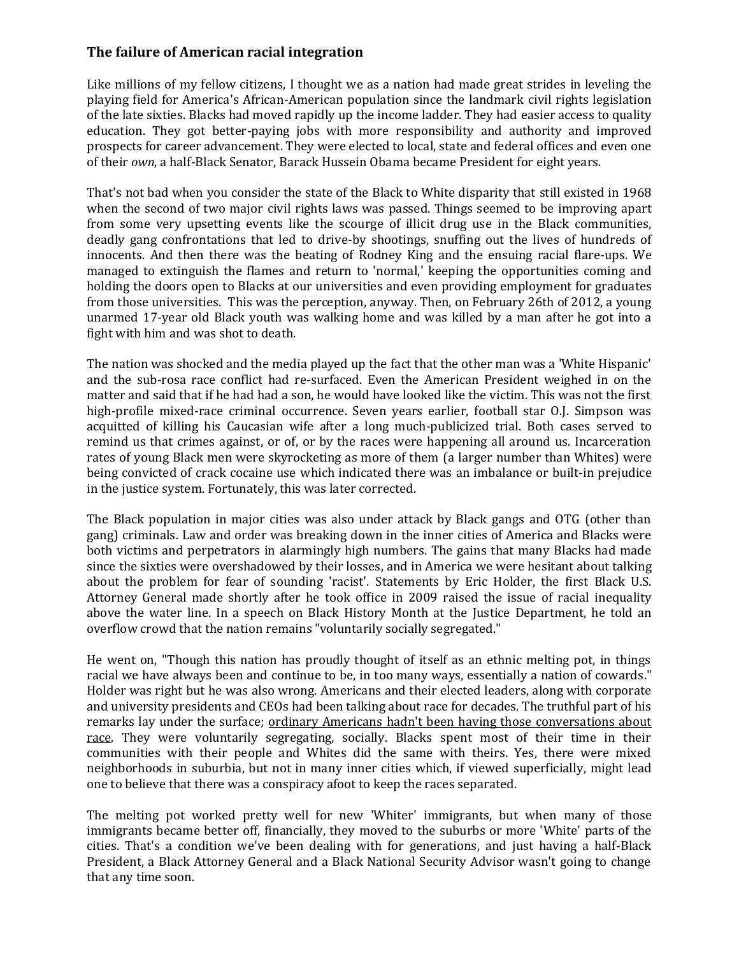## **The failure of American racial integration**

Like millions of my fellow citizens, I thought we as a nation had made great strides in leveling the playing field for America's African-American population since the landmark civil rights legislation of the late sixties. Blacks had moved rapidly up the income ladder. They had easier access to quality education. They got better-paying jobs with more responsibility and authority and improved prospects for career advancement. They were elected to local, state and federal offices and even one of their *own*, a half-Black Senator, Barack Hussein Obama became President for eight years.

That's not bad when you consider the state of the Black to White disparity that still existed in 1968 when the second of two major civil rights laws was passed. Things seemed to be improving apart from some very upsetting events like the scourge of illicit drug use in the Black communities, deadly gang confrontations that led to drive-by shootings, snuffing out the lives of hundreds of innocents. And then there was the beating of Rodney King and the ensuing racial flare-ups. We managed to extinguish the flames and return to 'normal,' keeping the opportunities coming and holding the doors open to Blacks at our universities and even providing employment for graduates from those universities. This was the perception, anyway. Then, on February 26th of 2012, a young unarmed 17-year old Black youth was walking home and was killed by a man after he got into a fight with him and was shot to death.

The nation was shocked and the media played up the fact that the other man was a 'White Hispanic' and the sub-rosa race conflict had re-surfaced. Even the American President weighed in on the matter and said that if he had had a son, he would have looked like the victim. This was not the first high-profile mixed-race criminal occurrence. Seven years earlier, football star O.J. Simpson was acquitted of killing his Caucasian wife after a long much-publicized trial. Both cases served to remind us that crimes against, or of, or by the races were happening all around us. Incarceration rates of young Black men were skyrocketing as more of them (a larger number than Whites) were being convicted of crack cocaine use which indicated there was an imbalance or built-in prejudice in the justice system. Fortunately, this was later corrected.

The Black population in major cities was also under attack by Black gangs and OTG (other than gang) criminals. Law and order was breaking down in the inner cities of America and Blacks were both victims and perpetrators in alarmingly high numbers. The gains that many Blacks had made since the sixties were overshadowed by their losses, and in America we were hesitant about talking about the problem for fear of sounding 'racist'. Statements by Eric Holder, the first Black U.S. Attorney General made shortly after he took office in 2009 raised the issue of racial inequality above the water line. In a speech on Black History Month at the Justice Department, he told an overflow crowd that the nation remains "voluntarily socially segregated."

He went on, "Though this nation has proudly thought of itself as an ethnic melting pot, in things racial we have always been and continue to be, in too many ways, essentially a nation of cowards." Holder was right but he was also wrong. Americans and their elected leaders, along with corporate and university presidents and CEOs had been talking about race for decades. The truthful part of his remarks lay under the surface; ordinary Americans hadn't been having those conversations about race. They were voluntarily segregating, socially. Blacks spent most of their time in their communities with their people and Whites did the same with theirs. Yes, there were mixed neighborhoods in suburbia, but not in many inner cities which, if viewed superficially, might lead one to believe that there was a conspiracy afoot to keep the races separated.

The melting pot worked pretty well for new 'Whiter' immigrants, but when many of those immigrants became better off, financially, they moved to the suburbs or more 'White' parts of the cities. That's a condition we've been dealing with for generations, and just having a half-Black President, a Black Attorney General and a Black National Security Advisor wasn't going to change that any time soon.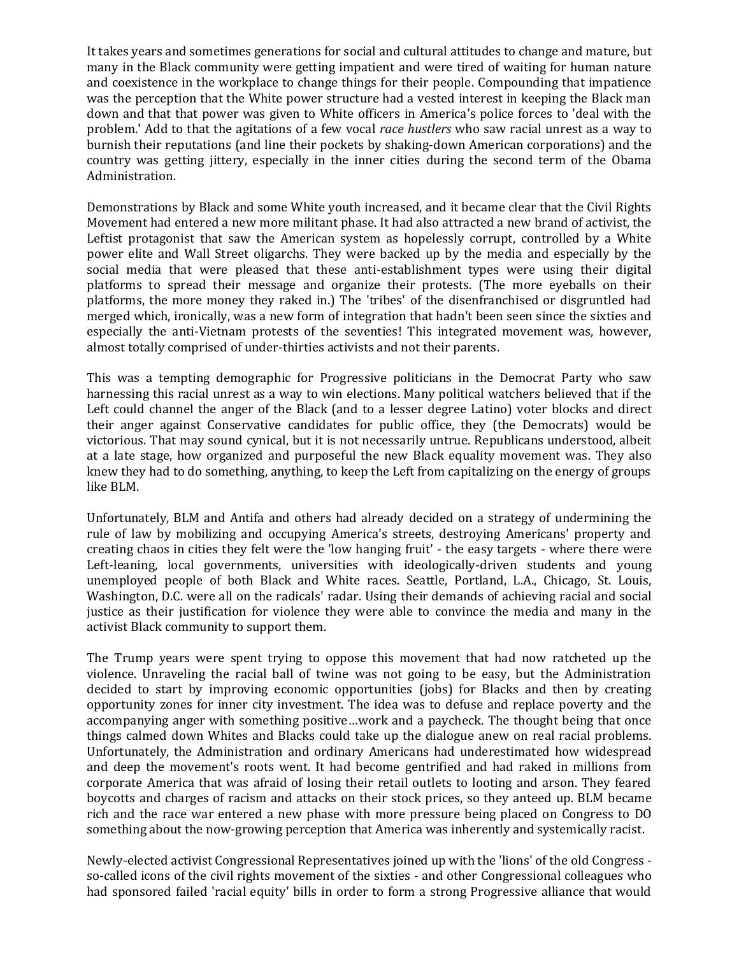It takes years and sometimes generations for social and cultural attitudes to change and mature, but many in the Black community were getting impatient and were tired of waiting for human nature and coexistence in the workplace to change things for their people. Compounding that impatience was the perception that the White power structure had a vested interest in keeping the Black man down and that that power was given to White officers in America's police forces to 'deal with the problem.' Add to that the agitations of a few vocal *race hustlers* who saw racial unrest as a way to burnish their reputations (and line their pockets by shaking-down American corporations) and the country was getting jittery, especially in the inner cities during the second term of the Obama Administration.

Demonstrations by Black and some White youth increased, and it became clear that the Civil Rights Movement had entered a new more militant phase. It had also attracted a new brand of activist, the Leftist protagonist that saw the American system as hopelessly corrupt, controlled by a White power elite and Wall Street oligarchs. They were backed up by the media and especially by the social media that were pleased that these anti-establishment types were using their digital platforms to spread their message and organize their protests. (The more eyeballs on their platforms, the more money they raked in.) The 'tribes' of the disenfranchised or disgruntled had merged which, ironically, was a new form of integration that hadn't been seen since the sixties and especially the anti-Vietnam protests of the seventies! This integrated movement was, however, almost totally comprised of under-thirties activists and not their parents.

This was a tempting demographic for Progressive politicians in the Democrat Party who saw harnessing this racial unrest as a way to win elections. Many political watchers believed that if the Left could channel the anger of the Black (and to a lesser degree Latino) voter blocks and direct their anger against Conservative candidates for public office, they (the Democrats) would be victorious. That may sound cynical, but it is not necessarily untrue. Republicans understood, albeit at a late stage, how organized and purposeful the new Black equality movement was. They also knew they had to do something, anything, to keep the Left from capitalizing on the energy of groups like BLM.

Unfortunately, BLM and Antifa and others had already decided on a strategy of undermining the rule of law by mobilizing and occupying America's streets, destroying Americans' property and creating chaos in cities they felt were the 'low hanging fruit' - the easy targets - where there were Left-leaning, local governments, universities with ideologically-driven students and young unemployed people of both Black and White races. Seattle, Portland, L.A., Chicago, St. Louis, Washington, D.C. were all on the radicals' radar. Using their demands of achieving racial and social justice as their justification for violence they were able to convince the media and many in the activist Black community to support them.

The Trump years were spent trying to oppose this movement that had now ratcheted up the violence. Unraveling the racial ball of twine was not going to be easy, but the Administration decided to start by improving economic opportunities (jobs) for Blacks and then by creating opportunity zones for inner city investment. The idea was to defuse and replace poverty and the accompanying anger with something positive…work and a paycheck. The thought being that once things calmed down Whites and Blacks could take up the dialogue anew on real racial problems. Unfortunately, the Administration and ordinary Americans had underestimated how widespread and deep the movement's roots went. It had become gentrified and had raked in millions from corporate America that was afraid of losing their retail outlets to looting and arson. They feared boycotts and charges of racism and attacks on their stock prices, so they anteed up. BLM became rich and the race war entered a new phase with more pressure being placed on Congress to DO something about the now-growing perception that America was inherently and systemically racist.

Newly-elected activist Congressional Representatives joined up with the 'lions' of the old Congress so-called icons of the civil rights movement of the sixties - and other Congressional colleagues who had sponsored failed 'racial equity' bills in order to form a strong Progressive alliance that would